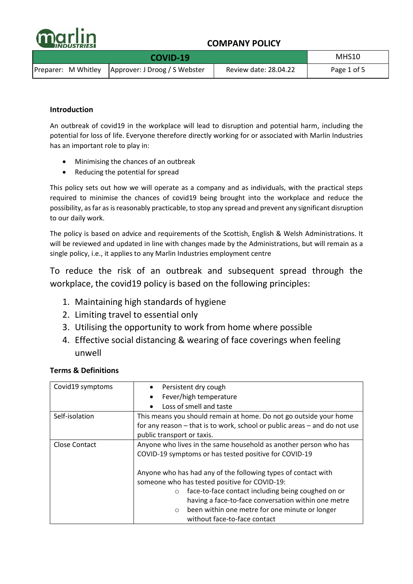

|  | MHS10                                               |                       |             |
|--|-----------------------------------------------------|-----------------------|-------------|
|  | Preparer: M Whitley   Approver: J Droog / S Webster | Review date: 28.04.22 | Page 1 of 5 |

### **Introduction**

An outbreak of covid19 in the workplace will lead to disruption and potential harm, including the potential for loss of life. Everyone therefore directly working for or associated with Marlin Industries has an important role to play in:

- Minimising the chances of an outbreak
- Reducing the potential for spread

This policy sets out how we will operate as a company and as individuals, with the practical steps required to minimise the chances of covid19 being brought into the workplace and reduce the possibility, as far as is reasonably practicable, to stop any spread and prevent any significant disruption to our daily work.

The policy is based on advice and requirements of the Scottish, English & Welsh Administrations. It will be reviewed and updated in line with changes made by the Administrations, but will remain as a single policy, i.e., it applies to any Marlin Industries employment centre

To reduce the risk of an outbreak and subsequent spread through the workplace, the covid19 policy is based on the following principles:

- 1. Maintaining high standards of hygiene
- 2. Limiting travel to essential only
- 3. Utilising the opportunity to work from home where possible
- 4. Effective social distancing & wearing of face coverings when feeling unwell

| Covid19 symptoms     | Persistent dry cough                                                      |  |  |
|----------------------|---------------------------------------------------------------------------|--|--|
|                      | Fever/high temperature<br>$\bullet$                                       |  |  |
|                      | Loss of smell and taste                                                   |  |  |
| Self-isolation       | This means you should remain at home. Do not go outside your home         |  |  |
|                      | for any reason – that is to work, school or public areas – and do not use |  |  |
|                      | public transport or taxis.                                                |  |  |
| <b>Close Contact</b> | Anyone who lives in the same household as another person who has          |  |  |
|                      | COVID-19 symptoms or has tested positive for COVID-19                     |  |  |
|                      |                                                                           |  |  |
|                      | Anyone who has had any of the following types of contact with             |  |  |
|                      | someone who has tested positive for COVID-19:                             |  |  |
|                      | face-to-face contact including being coughed on or<br>$\circ$             |  |  |
|                      | having a face-to-face conversation within one metre                       |  |  |
|                      | been within one metre for one minute or longer<br>$\circ$                 |  |  |
|                      | without face-to-face contact                                              |  |  |

### **Terms & Definitions**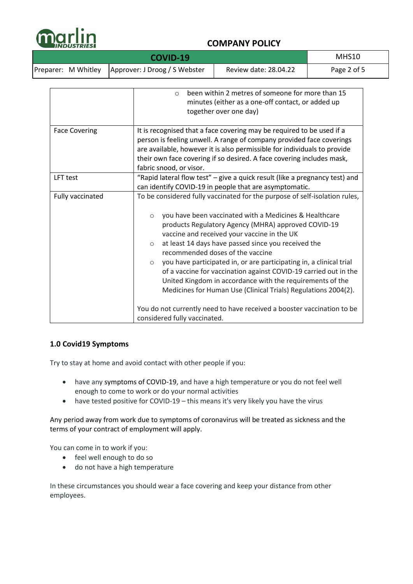

| COVID-19 |  |                                                     |                       | MHS10       |
|----------|--|-----------------------------------------------------|-----------------------|-------------|
|          |  | Preparer: M Whitley   Approver: J Droog / S Webster | Review date: 28.04.22 | Page 2 of 5 |

|                      | been within 2 metres of someone for more than 15<br>$\circ$<br>minutes (either as a one-off contact, or added up<br>together over one day)                                                                                                                                                                                                                                                                                                                                                                                                                                                                                                                                                                                                                 |  |  |
|----------------------|------------------------------------------------------------------------------------------------------------------------------------------------------------------------------------------------------------------------------------------------------------------------------------------------------------------------------------------------------------------------------------------------------------------------------------------------------------------------------------------------------------------------------------------------------------------------------------------------------------------------------------------------------------------------------------------------------------------------------------------------------------|--|--|
| <b>Face Covering</b> | It is recognised that a face covering may be required to be used if a<br>person is feeling unwell. A range of company provided face coverings<br>are available, however it is also permissible for individuals to provide<br>their own face covering if so desired. A face covering includes mask,<br>fabric snood, or visor.                                                                                                                                                                                                                                                                                                                                                                                                                              |  |  |
| LFT test             | "Rapid lateral flow test" - give a quick result (like a pregnancy test) and<br>can identify COVID-19 in people that are asymptomatic.                                                                                                                                                                                                                                                                                                                                                                                                                                                                                                                                                                                                                      |  |  |
| Fully vaccinated     | To be considered fully vaccinated for the purpose of self-isolation rules,<br>you have been vaccinated with a Medicines & Healthcare<br>$\circ$<br>products Regulatory Agency (MHRA) approved COVID-19<br>vaccine and received your vaccine in the UK<br>at least 14 days have passed since you received the<br>$\circ$<br>recommended doses of the vaccine<br>you have participated in, or are participating in, a clinical trial<br>$\circ$<br>of a vaccine for vaccination against COVID-19 carried out in the<br>United Kingdom in accordance with the requirements of the<br>Medicines for Human Use (Clinical Trials) Regulations 2004(2).<br>You do not currently need to have received a booster vaccination to be<br>considered fully vaccinated. |  |  |

### **1.0 Covid19 Symptoms**

Try to stay at home and avoid contact with other people if you:

- have any symptoms of COVID-19, and have a high temperature or you do not feel well enough to come to work or do your normal activities
- have tested positive for COVID-19 this means it's very likely you have the virus

Any period away from work due to symptoms of coronavirus will be treated as sickness and the terms of your contract of employment will apply.

You can come in to work if you:

- feel well enough to do so
- do not have a high temperature

In these circumstances you should wear a face covering and keep your distance from other employees.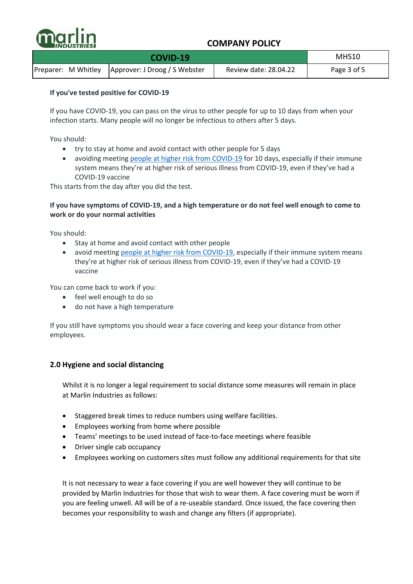

|  | MHS10                                               |                       |             |
|--|-----------------------------------------------------|-----------------------|-------------|
|  | Preparer: M Whitley   Approver: J Droog / S Webster | Review date: 28.04.22 | Page 3 of 5 |

### **If you've tested positive for COVID-19**

If you have COVID-19, you can pass on the virus to other people for up to 10 days from when your infection starts. Many people will no longer be infectious to others after 5 days.

You should:

- try to stay at home and avoid contact with other people for 5 days
- avoiding meeting [people at higher risk from COVID-19](https://www.nhs.uk/conditions/coronavirus-covid-19/people-at-higher-risk/who-is-at-high-risk-from-coronavirus/) for 10 days, especially if their immune system means they're at higher risk of serious illness from COVID-19, even if they've had a COVID-19 vaccine

This starts from the day after you did the test.

### **If you have symptoms of COVID-19, and a high temperature or do not feel well enough to come to work or do your normal activities**

You should:

- Stay at home and avoid contact with other people
- avoid meeting [people at higher risk from COVID-19,](https://www.nhs.uk/conditions/coronavirus-covid-19/people-at-higher-risk/who-is-at-high-risk-from-coronavirus/) especially if their immune system means they're at higher risk of serious illness from COVID-19, even if they've had a COVID-19 vaccine

You can come back to work if you:

- feel well enough to do so
- do not have a high temperature

If you still have symptoms you should wear a face covering and keep your distance from other employees.

### **2.0 Hygiene and social distancing**

Whilst it is no longer a legal requirement to social distance some measures will remain in place at Marlin Industries as follows:

- Staggered break times to reduce numbers using welfare facilities.
- Employees working from home where possible
- Teams' meetings to be used instead of face-to-face meetings where feasible
- Driver single cab occupancy
- Employees working on customers sites must follow any additional requirements for that site

It is not necessary to wear a face covering if you are well however they will continue to be provided by Marlin Industries for those that wish to wear them. A face covering must be worn if you are feeling unwell. All will be of a re-useable standard. Once issued, the face covering then becomes your responsibility to wash and change any filters (if appropriate).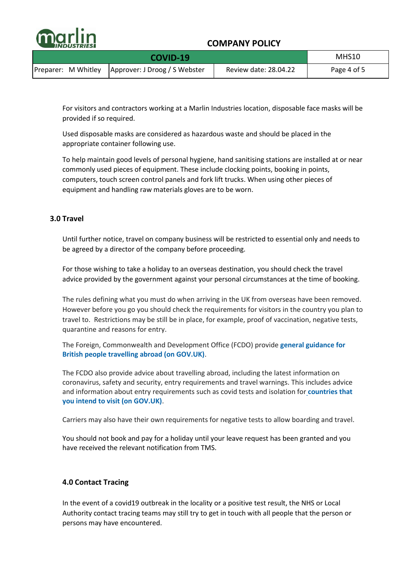

|  | MHS10                                               |                       |             |
|--|-----------------------------------------------------|-----------------------|-------------|
|  | Preparer: M Whitley   Approver: J Droog / S Webster | Review date: 28.04.22 | Page 4 of 5 |

For visitors and contractors working at a Marlin Industries location, disposable face masks will be provided if so required.

Used disposable masks are considered as hazardous waste and should be placed in the appropriate container following use.

To help maintain good levels of personal hygiene, hand sanitising stations are installed at or near commonly used pieces of equipment. These include clocking points, booking in points, computers, touch screen control panels and fork lift trucks. When using other pieces of equipment and handling raw materials gloves are to be worn.

#### **3.0 Travel**

Until further notice, travel on company business will be restricted to essential only and needs to be agreed by a director of the company before proceeding.

For those wishing to take a holiday to an overseas destination, you should check the travel advice provided by the government against your personal circumstances at the time of booking.

The rules defining what you must do when arriving in the UK from overseas have been removed. However before you go you should check the requirements for visitors in the country you plan to travel to. Restrictions may be still be in place, for example, proof of vaccination, negative tests, quarantine and reasons for entry.

The Foreign, Commonwealth and Development Office (FCDO) provide **[general guidance for](https://www.gov.uk/guidance/travel-advice-novel-coronavirus)  [British people travelling abroad \(on GOV.UK\)](https://www.gov.uk/guidance/travel-advice-novel-coronavirus)**.

The FCDO also provide advice about travelling abroad, including the latest information on coronavirus, safety and security, entry requirements and travel warnings. This includes advice and information about entry requirements such as covid tests and isolation for **[countries that](https://www.gov.uk/check-travel-during-coronavirus/which-country)  [you intend to visit \(on GOV.UK\)](https://www.gov.uk/check-travel-during-coronavirus/which-country)**.

Carriers may also have their own requirements for negative tests to allow boarding and travel.

You should not book and pay for a holiday until your leave request has been granted and you have received the relevant notification from TMS.

#### **4.0 Contact Tracing**

In the event of a covid19 outbreak in the locality or a positive test result, the NHS or Local Authority contact tracing teams may still try to get in touch with all people that the person or persons may have encountered.